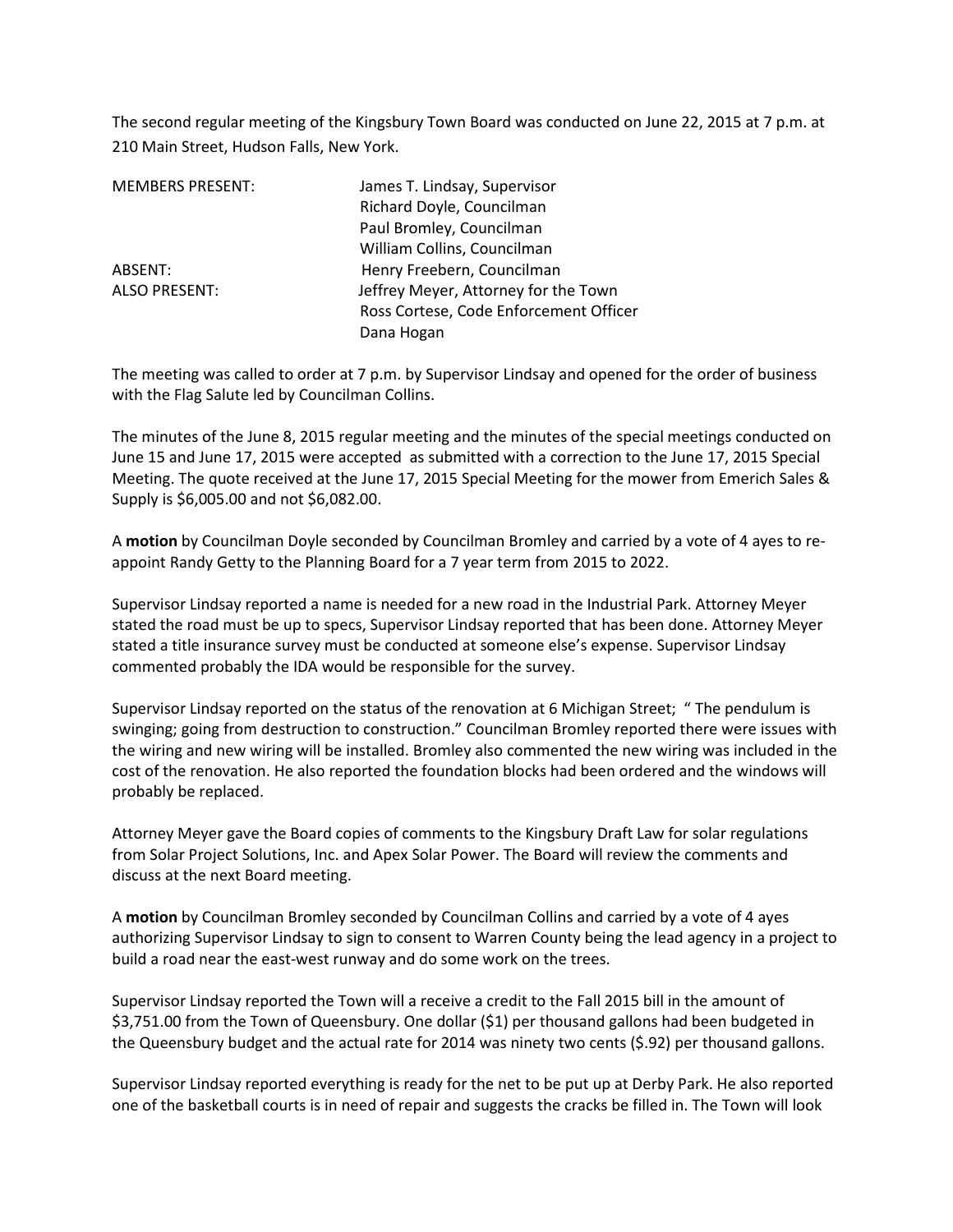The second regular meeting of the Kingsbury Town Board was conducted on June 22, 2015 at 7 p.m. at 210 Main Street, Hudson Falls, New York.

| <b>MEMBERS PRESENT:</b> | James T. Lindsay, Supervisor           |
|-------------------------|----------------------------------------|
|                         | Richard Doyle, Councilman              |
|                         | Paul Bromley, Councilman               |
|                         | William Collins, Councilman            |
| ABSENT:                 | Henry Freebern, Councilman             |
| <b>ALSO PRESENT:</b>    | Jeffrey Meyer, Attorney for the Town   |
|                         | Ross Cortese, Code Enforcement Officer |
|                         | Dana Hogan                             |

The meeting was called to order at 7 p.m. by Supervisor Lindsay and opened for the order of business with the Flag Salute led by Councilman Collins.

The minutes of the June 8, 2015 regular meeting and the minutes of the special meetings conducted on June 15 and June 17, 2015 were accepted as submitted with a correction to the June 17, 2015 Special Meeting. The quote received at the June 17, 2015 Special Meeting for the mower from Emerich Sales & Supply is \$6,005.00 and not \$6,082.00.

A **motion** by Councilman Doyle seconded by Councilman Bromley and carried by a vote of 4 ayes to reappoint Randy Getty to the Planning Board for a 7 year term from 2015 to 2022.

Supervisor Lindsay reported a name is needed for a new road in the Industrial Park. Attorney Meyer stated the road must be up to specs, Supervisor Lindsay reported that has been done. Attorney Meyer stated a title insurance survey must be conducted at someone else's expense. Supervisor Lindsay commented probably the IDA would be responsible for the survey.

Supervisor Lindsay reported on the status of the renovation at 6 Michigan Street; " The pendulum is swinging; going from destruction to construction." Councilman Bromley reported there were issues with the wiring and new wiring will be installed. Bromley also commented the new wiring was included in the cost of the renovation. He also reported the foundation blocks had been ordered and the windows will probably be replaced.

Attorney Meyer gave the Board copies of comments to the Kingsbury Draft Law for solar regulations from Solar Project Solutions, Inc. and Apex Solar Power. The Board will review the comments and discuss at the next Board meeting.

A **motion** by Councilman Bromley seconded by Councilman Collins and carried by a vote of 4 ayes authorizing Supervisor Lindsay to sign to consent to Warren County being the lead agency in a project to build a road near the east-west runway and do some work on the trees.

Supervisor Lindsay reported the Town will a receive a credit to the Fall 2015 bill in the amount of \$3,751.00 from the Town of Queensbury. One dollar (\$1) per thousand gallons had been budgeted in the Queensbury budget and the actual rate for 2014 was ninety two cents (\$.92) per thousand gallons.

Supervisor Lindsay reported everything is ready for the net to be put up at Derby Park. He also reported one of the basketball courts is in need of repair and suggests the cracks be filled in. The Town will look